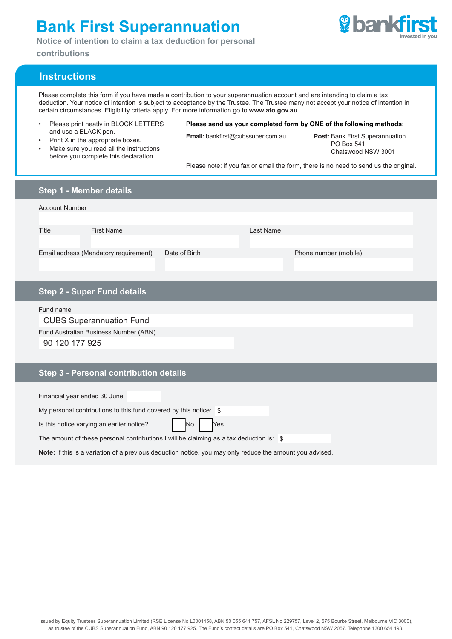## **Bank First Superannuation**

**Notice of intention to claim a tax deduction for personal** 

**contributions**



## **Instructions**

Please complete this form if you have made a contribution to your superannuation account and are intending to claim a tax deduction. Your notice of intention is subject to acceptance by the Trustee. The Trustee many not accept your notice of intention in certain circumstances. Eligibility criteria apply. For more information go to **www.ato.gov.au**

- Please print neatly in BLOCK LETTERS and use a BLACK pen.
- Print X in the appropriate boxes.
- Make sure you read all the instructions before you complete this declaration.
- **Please send us your completed form by ONE of the following methods:**

**Email:** bankfirst@cubssuper.com.au **Post:** Bank First Superannuation PO Box 541 Chatswood NSW 3001

Please note: if you fax or email the form, there is no need to send us the original.

| Step 1 - Member details                                                                                  |               |           |                       |  |
|----------------------------------------------------------------------------------------------------------|---------------|-----------|-----------------------|--|
| <b>Account Number</b>                                                                                    |               |           |                       |  |
|                                                                                                          |               |           |                       |  |
| <b>First Name</b><br>Title                                                                               |               | Last Name |                       |  |
| Email address (Mandatory requirement)                                                                    | Date of Birth |           | Phone number (mobile) |  |
|                                                                                                          |               |           |                       |  |
| <b>Step 2 - Super Fund details</b>                                                                       |               |           |                       |  |
| Fund name                                                                                                |               |           |                       |  |
| <b>CUBS Superannuation Fund</b>                                                                          |               |           |                       |  |
| Fund Australian Business Number (ABN)                                                                    |               |           |                       |  |
| 90 120 177 925                                                                                           |               |           |                       |  |
|                                                                                                          |               |           |                       |  |
| Step 3 - Personal contribution details                                                                   |               |           |                       |  |
| Financial year ended 30 June                                                                             |               |           |                       |  |
| My personal contributions to this fund covered by this notice: \$                                        |               |           |                       |  |
| Yes<br>Is this notice varying an earlier notice?<br>No                                                   |               |           |                       |  |
| The amount of these personal contributions I will be claiming as a tax deduction is: \$                  |               |           |                       |  |
| Note: If this is a variation of a previous deduction notice, you may only reduce the amount you advised. |               |           |                       |  |